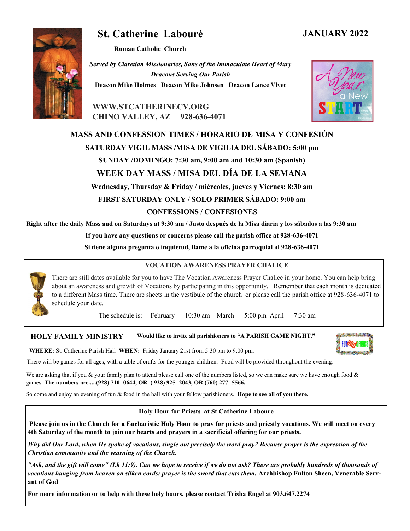# **St. Catherine Labouré**

**Roman Catholic Church**

*Served by Claretian Missionaries, Sons of the Immaculate Heart of Mary Deacons Serving Our Parish* **Deacon Mike Holmes Deacon Mike Johnsen Deacon Lance Vivet**

**WWW.STCATHERINECV.ORG CHINO VALLEY, AZ 928-636-4071**

## **MASS AND CONFESSION TIMES / HORARIO DE MISA Y CONFESIÓN**

#### **SATURDAY VIGIL MASS /MISA DE VIGILIA DEL SÁBADO: 5:00 pm**

**SUNDAY /DOMINGO: 7:30 am, 9:00 am and 10:30 am (Spanish)** 

## **WEEK DAY MASS / MISA DEL DÍA DE LA SEMANA**

**Wednesday, Thursday & Friday / miércoles, jueves y Viernes: 8:30 am FIRST SATURDAY ONLY / SOLO PRIMER SÁBADO: 9:00 am CONFESSIONS / CONFESIONES**

**Right after the daily Mass and on Saturdays at 9:30 am / Justo después de la Misa diaria y los sábados a las 9:30 am**

**If you have any questions or concerns please call the parish office at 928-636-4071**

**Si tiene alguna pregunta o inquietud, llame a la oficina parroquial al 928-636-4071**

### **VOCATION AWARENESS PRAYER CHALICE**

There are still dates available for you to have The Vocation Awareness Prayer Chalice in your home. You can help bring about an awareness and growth of Vocations by participating in this opportunity. Remember that each month is dedicated to a different Mass time. There are sheets in the vestibule of the church or please call the parish office at 928-636-4071 to schedule your date.

The schedule is: February — 10:30 am March — 5:00 pm April — 7:30 am

#### **HOLY FAMILY MINISTRY Would like to invite all parishioners to "A PARISH GAME NIGHT."**

**WHERE:** St. Catherine Parish Hall **WHEN:** Friday January 21st from 5:30 pm to 9:00 pm.

There will be games for all ages, with a table of crafts for the younger children. Food will be provided throughout the evening.

We are asking that if you & your family plan to attend please call one of the numbers listed, so we can make sure we have enough food  $\&$ games. **The numbers are.....(928) 710 -0644, OR ( 928) 925- 2043, OR (760) 277- 5566.**

So come and enjoy an evening of fun & food in the hall with your fellow parishioners. **Hope to see all of you there.**

#### **Holy Hour for Priests at St Catherine Laboure**

**Please join us in the Church for a Eucharistic Holy Hour to pray for priests and priestly vocations. We will meet on every 4th Saturday of the month to join our hearts and prayers in a sacrificial offering for our priests.**

*Why did Our Lord, when He spoke of vocations, single out precisely the word pray? Because prayer is the expression of the Christian community and the yearning of the Church.*

*"Ask, and the gift will come" (Lk 11:9). Can we hope to receive if we do not ask? There are probably hundreds of thousands of vocations hanging from heaven on silken cords; prayer is the sword that cuts them.* **Archbishop Fulton Sheen, Venerable Servant of God**

**For more information or to help with these holy hours, please contact Trisha Engel at 903.647.2274**







## **JANUARY 2022**